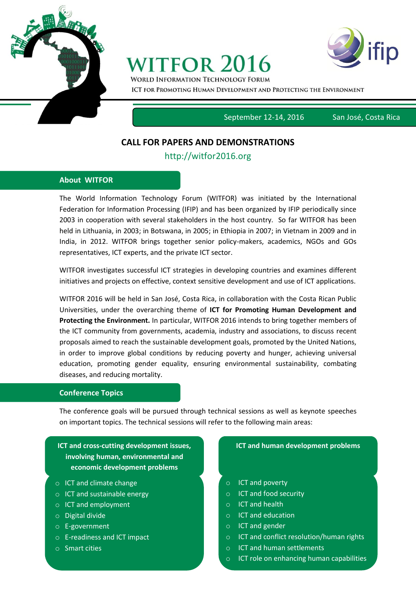

# **WITFOR 2016**



**WORLD INFORMATION TECHNOLOGY FORUM** ICT FOR PROMOTING HUMAN DEVELOPMENT AND PROTECTING THE ENVIRONMENT

September 12-14, 2016San José, Costa Rica

# **CALL FOR PAPERS AND DEMONSTRATIONS**

## http://witfor2016.org

#### **About WITFOR**

The World Information Technology Forum (WITFOR) was initiated by the International Federation for Information Processing (IFIP) and has been organized by IFIP periodically since 2003 in cooperation with several stakeholders in the host country. So far WITFOR has been held in Lithuania, in 2003; in Botswana, in 2005; in Ethiopia in 2007; in Vietnam in 2009 and in India, in 2012. WITFOR brings together senior policy-makers, academics, NGOs and GOs representatives, ICT experts, and the private ICT sector.

WITFOR investigates successful ICT strategies in developing countries and examines different initiatives and projects on effective, context sensitive development and use of ICT applications.

WITFOR 2016 will be held in San José, Costa Rica, in collaboration with the Costa Rican Public Universities, under the overarching theme of **ICT for Promoting Human Development and Protecting the Environment.** In particular, WITFOR 2016 intends to bring together members of the ICT community from governments, academia, industry and associations, to discuss recent proposals aimed to reach the sustainable development goals, promoted by the United Nations, in order to improve global conditions by reducing poverty and hunger, achieving universal education, promoting gender equality, ensuring environmental sustainability, combating diseases, and reducing mortality.

#### **Conference Topics**

The conference goals will be pursued through technical sessions as well as keynote speeches on important topics. The technical sessions will refer to the following main areas:

### **ICT and cross-cutting development issues, involving human, environmental and economic development problems**

- o ICT and climate change
- o ICT and sustainable energy
- o ICT and employment
- o Digital divide
- o E-government
- o E-readiness and ICT impact
- o Smart cities

#### **ICT and human development problems**

- o ICT and poverty
- o ICT and food security
- o ICT and health
- o ICT and education
- o ICT and gender
- o ICT and conflict resolution/human rights
- o ICT and human settlements
- o ICT role on enhancing human capabilities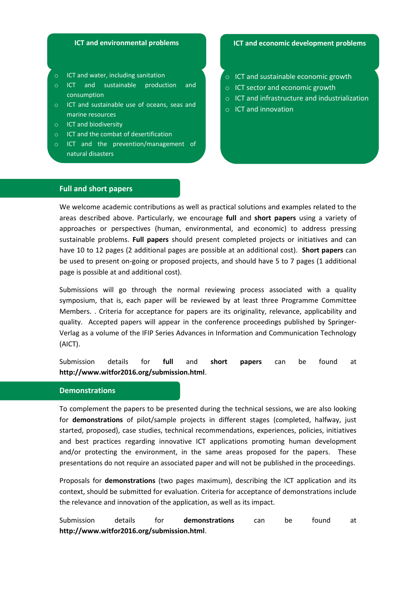#### **ICT and environmental problems**

- o ICT and water, including sanitation
- o ICT and sustainable production and consumption
- o ICT and sustainable use of oceans, seas and marine resources
- o ICT and biodiversity

o

- o ICT and the combat of desertification
- o ICT and the prevention/management of natural disasters

#### **ICT and economic development problems**

- o ICT and sustainable economic growth
- o ICT sector and economic growth
- o ICT and infrastructure and industrialization
- o ICT and innovation

# **Full and short papers**

We welcome academic contributions as well as practical solutions and examples related to the areas described above. Particularly, we encourage **full** and **short papers** using a variety of approaches or perspectives (human, environmental, and economic) to address pressing sustainable problems. **Full papers** should present completed projects or initiatives and can have 10 to 12 pages (2 additional pages are possible at an additional cost). **Short papers** can be used to present on-going or proposed projects, and should have 5 to 7 pages (1 additional page is possible at and additional cost).

Submissions will go through the normal reviewing process associated with a quality symposium, that is, each paper will be reviewed by at least three Programme Committee Members. . Criteria for acceptance for papers are its originality, relevance, applicability and quality. Accepted papers will appear in the conference proceedings published by Springer-Verlag as a volume of the IFIP Series Advances in Information and Communication Technology (AICT).

Submission details for **full** and **short papers** can be found at **http://www.witfor2016.org/submission.html**.

#### **Demonstrations**

To complement the papers to be presented during the technical sessions, we are also looking for **demonstrations** of pilot/sample projects in different stages (completed, halfway, just started, proposed), case studies, technical recommendations, experiences, policies, initiatives and best practices regarding innovative ICT applications promoting human development and/or protecting the environment, in the same areas proposed for the papers. These presentations do not require an associated paper and will not be published in the proceedings.

Proposals for **demonstrations** (two pages maximum), describing the ICT application and its context, should be submitted for evaluation. Criteria for acceptance of demonstrations include the relevance and innovation of the application, as well as its impact.

Submission details for **demonstrations** can be found at **http://www.witfor2016.org/submission.html**.